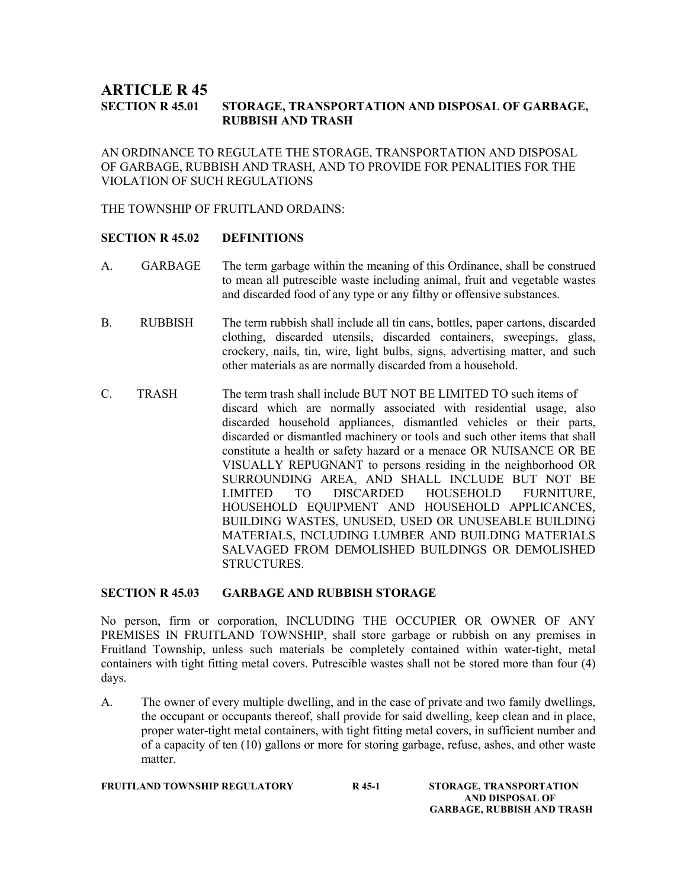## **ARTICLE R 45<br>SECTION R 45.01** STORAGE, TRANSPORTATION AND DISPOSAL OF GARBAGE, RUBBISH AND TRASH

AN ORDINANCE TO REGULATE THE STORAGE, TRANSPORTATION AND DISPOSAL OF GARBAGE, RUBBISH AND TRASH, AND TO PROVIDE FOR PENALITIES FOR THE VIOLATION OF SUCH REGULATIONS

THE TOWNSHIP OF FRUITLAND ORDAINS:

### SECTION R 45.02 DEFINITIONS

- A. GARBAGE The term garbage within the meaning of this Ordinance, shall be construed to mean all putrescible waste including animal, fruit and vegetable wastes and discarded food of any type or any filthy or offensive substances.
- B. RUBBISH The term rubbish shall include all tin cans, bottles, paper cartons, discarded clothing, discarded utensils, discarded containers, sweepings, glass, crockery, nails, tin, wire, light bulbs, signs, advertising matter, and such other materials as are normally discarded from a household.
- C. TRASH The term trash shall include BUT NOT BE LIMITED TO such items of discard which are normally associated with residential usage, also discarded household appliances, dismantled vehicles or their parts, discarded or dismantled machinery or tools and such other items that shall constitute a health or safety hazard or a menace OR NUISANCE OR BE VISUALLY REPUGNANT to persons residing in the neighborhood OR SURROUNDING AREA, AND SHALL INCLUDE BUT NOT BE LIMITED TO DISCARDED HOUSEHOLD FURNITURE, HOUSEHOLD EQUIPMENT AND HOUSEHOLD APPLICANCES, BUILDING WASTES, UNUSED, USED OR UNUSEABLE BUILDING MATERIALS, INCLUDING LUMBER AND BUILDING MATERIALS SALVAGED FROM DEMOLISHED BUILDINGS OR DEMOLISHED **STRUCTURES**

### SECTION R 45.03 GARBAGE AND RUBBISH STORAGE

No person, firm or corporation, INCLUDING THE OCCUPIER OR OWNER OF ANY PREMISES IN FRUITLAND TOWNSHIP, shall store garbage or rubbish on any premises in Fruitland Township, unless such materials be completely contained within water-tight, metal containers with tight fitting metal covers. Putrescible wastes shall not be stored more than four (4) days.

A. The owner of every multiple dwelling, and in the case of private and two family dwellings, the occupant or occupants thereof, shall provide for said dwelling, keep clean and in place, proper water-tight metal containers, with tight fitting metal covers, in sufficient number and of a capacity of ten (10) gallons or more for storing garbage, refuse, ashes, and other waste matter.

FRUITLAND TOWNSHIP REGULATORY R45-1 STORAGE, TRANSPORTATION

 AND DISPOSAL OF GARBAGE, RUBBISH AND TRASH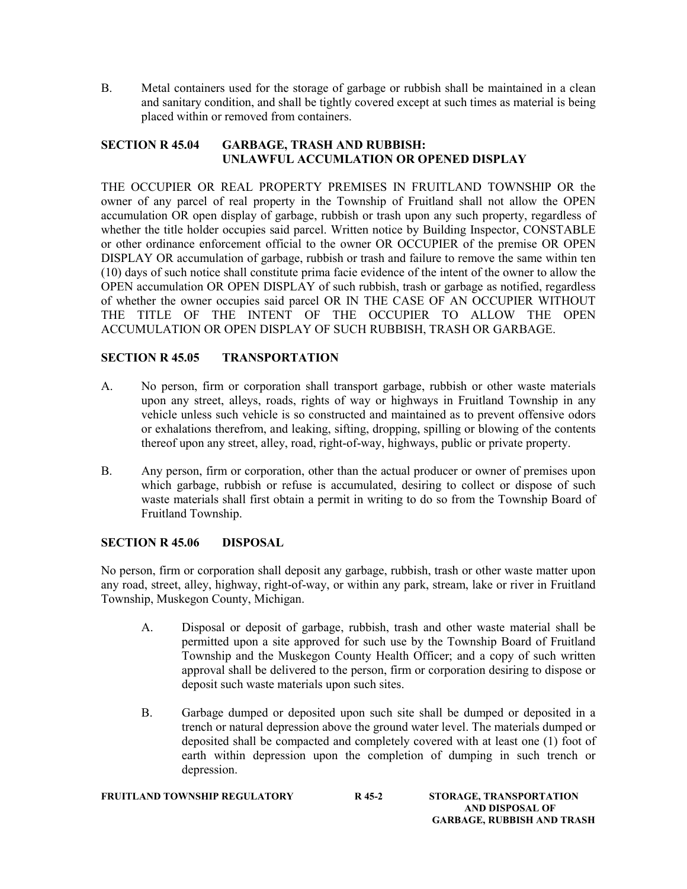B. Metal containers used for the storage of garbage or rubbish shall be maintained in a clean and sanitary condition, and shall be tightly covered except at such times as material is being placed within or removed from containers.

## SECTION R 45.04 GARBAGE, TRASH AND RUBBISH: UNLAWFUL ACCUMLATION OR OPENED DISPLAY

THE OCCUPIER OR REAL PROPERTY PREMISES IN FRUITLAND TOWNSHIP OR the owner of any parcel of real property in the Township of Fruitland shall not allow the OPEN accumulation OR open display of garbage, rubbish or trash upon any such property, regardless of whether the title holder occupies said parcel. Written notice by Building Inspector, CONSTABLE or other ordinance enforcement official to the owner OR OCCUPIER of the premise OR OPEN DISPLAY OR accumulation of garbage, rubbish or trash and failure to remove the same within ten (10) days of such notice shall constitute prima facie evidence of the intent of the owner to allow the OPEN accumulation OR OPEN DISPLAY of such rubbish, trash or garbage as notified, regardless of whether the owner occupies said parcel OR IN THE CASE OF AN OCCUPIER WITHOUT THE TITLE OF THE INTENT OF THE OCCUPIER TO ALLOW THE OPEN ACCUMULATION OR OPEN DISPLAY OF SUCH RUBBISH, TRASH OR GARBAGE.

# SECTION R 45.05 TRANSPORTATION

- A. No person, firm or corporation shall transport garbage, rubbish or other waste materials upon any street, alleys, roads, rights of way or highways in Fruitland Township in any vehicle unless such vehicle is so constructed and maintained as to prevent offensive odors or exhalations therefrom, and leaking, sifting, dropping, spilling or blowing of the contents thereof upon any street, alley, road, right-of-way, highways, public or private property.
- B. Any person, firm or corporation, other than the actual producer or owner of premises upon which garbage, rubbish or refuse is accumulated, desiring to collect or dispose of such waste materials shall first obtain a permit in writing to do so from the Township Board of Fruitland Township.

## SECTION R 45.06 DISPOSAL

No person, firm or corporation shall deposit any garbage, rubbish, trash or other waste matter upon any road, street, alley, highway, right-of-way, or within any park, stream, lake or river in Fruitland Township, Muskegon County, Michigan.

- A. Disposal or deposit of garbage, rubbish, trash and other waste material shall be permitted upon a site approved for such use by the Township Board of Fruitland Township and the Muskegon County Health Officer; and a copy of such written approval shall be delivered to the person, firm or corporation desiring to dispose or deposit such waste materials upon such sites.
- B. Garbage dumped or deposited upon such site shall be dumped or deposited in a trench or natural depression above the ground water level. The materials dumped or deposited shall be compacted and completely covered with at least one (1) foot of earth within depression upon the completion of dumping in such trench or depression.

## FRUITLAND TOWNSHIP REGULATORY R45-2 STORAGE, TRANSPORTATION

 AND DISPOSAL OF GARBAGE, RUBBISH AND TRASH